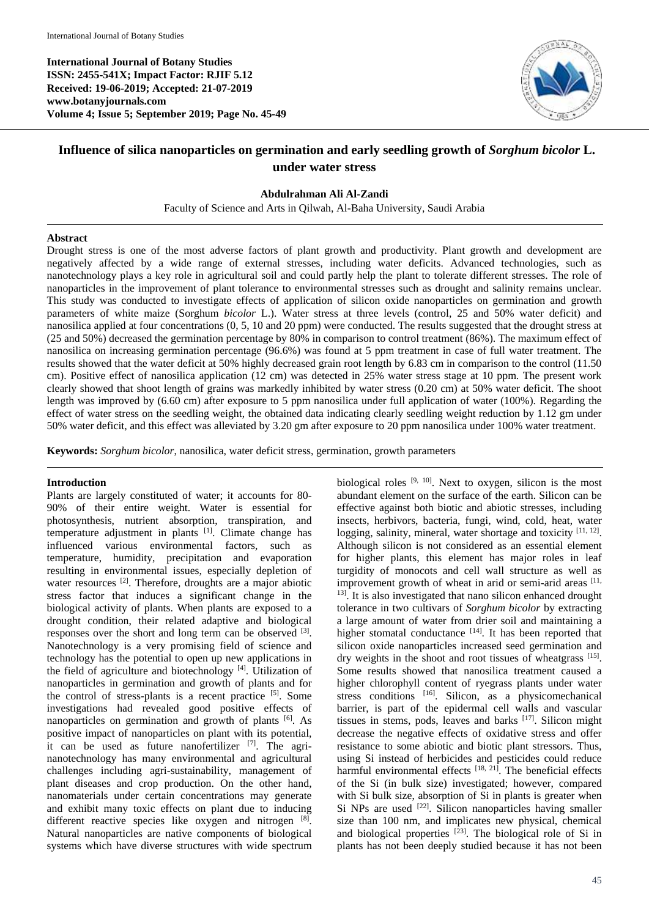**International Journal of Botany Studies ISSN: 2455-541X; Impact Factor: RJIF 5.12 Received: 19-06-2019; Accepted: 21-07-2019 www.botanyjournals.com Volume 4; Issue 5; September 2019; Page No. 45-49**



# **Influence of silica nanoparticles on germination and early seedling growth of** *Sorghum bicolor* **L. under water stress**

# **Abdulrahman Ali Al-Zandi**

Faculty of Science and Arts in Qilwah, Al-Baha University, Saudi Arabia

### **Abstract**

Drought stress is one of the most adverse factors of plant growth and productivity. Plant growth and development are negatively affected by a wide range of external stresses, including water deficits. Advanced technologies, such as nanotechnology plays a key role in agricultural soil and could partly help the plant to tolerate different stresses. The role of nanoparticles in the improvement of plant tolerance to environmental stresses such as drought and salinity remains unclear. This study was conducted to investigate effects of application of silicon oxide nanoparticles on germination and growth parameters of white maize (Sorghum *bicolor* L.). Water stress at three levels (control, 25 and 50% water deficit) and nanosilica applied at four concentrations (0, 5, 10 and 20 ppm) were conducted. The results suggested that the drought stress at (25 and 50%) decreased the germination percentage by 80% in comparison to control treatment (86%). The maximum effect of nanosilica on increasing germination percentage (96.6%) was found at 5 ppm treatment in case of full water treatment. The results showed that the water deficit at 50% highly decreased grain root length by 6.83 cm in comparison to the control (11.50 cm). Positive effect of nanosilica application (12 cm) was detected in 25% water stress stage at 10 ppm. The present work clearly showed that shoot length of grains was markedly inhibited by water stress (0.20 cm) at 50% water deficit. The shoot length was improved by (6.60 cm) after exposure to 5 ppm nanosilica under full application of water (100%). Regarding the effect of water stress on the seedling weight, the obtained data indicating clearly seedling weight reduction by 1.12 gm under 50% water deficit, and this effect was alleviated by 3.20 gm after exposure to 20 ppm nanosilica under 100% water treatment.

**Keywords:** *Sorghum bicolor*, nanosilica, water deficit stress, germination, growth parameters

# **Introduction**

Plants are largely constituted of water; it accounts for 80- 90% of their entire weight. Water is essential for photosynthesis, nutrient absorption, transpiration, and temperature adjustment in plants  $[1]$ . Climate change has influenced various environmental factors, such as temperature, humidity, precipitation and evaporation resulting in environmental issues, especially depletion of water resources <sup>[2]</sup>. Therefore, droughts are a major abiotic stress factor that induces a significant change in the biological activity of plants. When plants are exposed to a drought condition, their related adaptive and biological responses over the short and long term can be observed  $[3]$ . Nanotechnology is a very promising field of science and technology has the potential to open up new applications in the field of agriculture and biotechnology  $[4]$ . Utilization of nanoparticles in germination and growth of plants and for the control of stress-plants is a recent practice [5]. Some investigations had revealed good positive effects of nanoparticles on germination and growth of plants  $[6]$ . As positive impact of nanoparticles on plant with its potential, it can be used as future nanofertilizer  $[7]$ . The agrinanotechnology has many environmental and agricultural challenges including agri-sustainability, management of plant diseases and crop production. On the other hand, nanomaterials under certain concentrations may generate and exhibit many toxic effects on plant due to inducing different reactive species like oxygen and nitrogen [8]. Natural nanoparticles are native components of biological systems which have diverse structures with wide spectrum

biological roles  $[9, 10]$ . Next to oxygen, silicon is the most abundant element on the surface of the earth. Silicon can be effective against both biotic and abiotic stresses, including insects, herbivors, bacteria, fungi, wind, cold, heat, water logging, salinity, mineral, water shortage and toxicity [11, 12]. Although silicon is not considered as an essential element for higher plants, this element has major roles in leaf turgidity of monocots and cell wall structure as well as improvement growth of wheat in arid or semi-arid areas [11, <sup>13]</sup>. It is also investigated that nano silicon enhanced drought tolerance in two cultivars of *Sorghum bicolor* by extracting a large amount of water from drier soil and maintaining a higher stomatal conductance [14]. It has been reported that silicon oxide nanoparticles increased seed germination and dry weights in the shoot and root tissues of wheatgrass [15]. Some results showed that nanosilica treatment caused a higher chlorophyll content of ryegrass plants under water stress conditions <sup>[16]</sup>. Silicon, as a physicomechanical barrier, is part of the epidermal cell walls and vascular tissues in stems, pods, leaves and barks  $[17]$ . Silicon might decrease the negative effects of oxidative stress and offer resistance to some abiotic and biotic plant stressors. Thus, using Si instead of herbicides and pesticides could reduce harmful environmental effects  $[18, 21]$ . The beneficial effects of the Si (in bulk size) investigated; however, compared with Si bulk size, absorption of Si in plants is greater when Si NPs are used <sup>[22]</sup>. Silicon nanoparticles having smaller size than 100 nm, and implicates new physical, chemical and biological properties  $[23]$ . The biological role of Si in plants has not been deeply studied because it has not been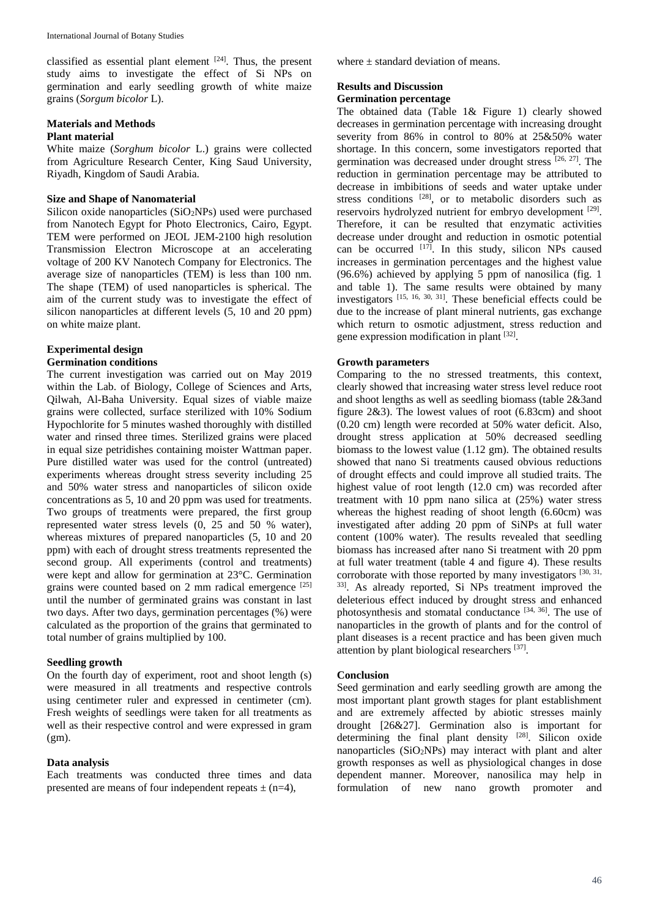classified as essential plant element [24]. Thus, the present study aims to investigate the effect of Si NPs on germination and early seedling growth of white maize grains (*Sorgum bicolor* L).

# **Materials and Methods Plant material**

White maize (*Sorghum bicolor* L.) grains were collected from Agriculture Research Center, King Saud University, Riyadh, Kingdom of Saudi Arabia.

# **Size and Shape of Nanomaterial**

Silicon oxide nanoparticles  $(SiO<sub>2</sub>NPs)$  used were purchased from Nanotech Egypt for Photo Electronics, Cairo, Egypt. TEM were performed on JEOL JEM-2100 high resolution Transmission Electron Microscope at an accelerating voltage of 200 KV Nanotech Company for Electronics. The average size of nanoparticles (TEM) is less than 100 nm. The shape (TEM) of used nanoparticles is spherical. The aim of the current study was to investigate the effect of silicon nanoparticles at different levels (5, 10 and 20 ppm) on white maize plant.

# **Experimental design**

# **Germination conditions**

The current investigation was carried out on May 2019 within the Lab. of Biology, College of Sciences and Arts, Qilwah, Al-Baha University. Equal sizes of viable maize grains were collected, surface sterilized with 10% Sodium Hypochlorite for 5 minutes washed thoroughly with distilled water and rinsed three times. Sterilized grains were placed in equal size petridishes containing moister Wattman paper. Pure distilled water was used for the control (untreated) experiments whereas drought stress severity including 25 and 50% water stress and nanoparticles of silicon oxide concentrations as 5, 10 and 20 ppm was used for treatments. Two groups of treatments were prepared, the first group represented water stress levels (0, 25 and 50 % water), whereas mixtures of prepared nanoparticles (5, 10 and 20 ppm) with each of drought stress treatments represented the second group. All experiments (control and treatments) were kept and allow for germination at 23°C. Germination grains were counted based on 2 mm radical emergence [25] until the number of germinated grains was constant in last two days. After two days, germination percentages (%) were calculated as the proportion of the grains that germinated to total number of grains multiplied by 100.

#### **Seedling growth**

On the fourth day of experiment, root and shoot length (s) were measured in all treatments and respective controls using centimeter ruler and expressed in centimeter (cm). Fresh weights of seedlings were taken for all treatments as well as their respective control and were expressed in gram (gm).

#### **Data analysis**

Each treatments was conducted three times and data presented are means of four independent repeats  $\pm$  (n=4),

where  $\pm$  standard deviation of means.

# **Results and Discussion**

### **Germination percentage**

The obtained data (Table 1& Figure 1) clearly showed decreases in germination percentage with increasing drought severity from 86% in control to 80% at 25&50% water shortage. In this concern, some investigators reported that germination was decreased under drought stress [26, 27]. The reduction in germination percentage may be attributed to decrease in imbibitions of seeds and water uptake under stress conditions  $[28]$ , or to metabolic disorders such as reservoirs hydrolyzed nutrient for embryo development [29]. Therefore, it can be resulted that enzymatic activities decrease under drought and reduction in osmotic potential can be occurred  $[17]$ . In this study, silicon NPs caused increases in germination percentages and the highest value (96.6%) achieved by applying 5 ppm of nanosilica (fig. 1 and table 1). The same results were obtained by many investigators [15, 16, 30, 31] . These beneficial effects could be due to the increase of plant mineral nutrients, gas exchange which return to osmotic adjustment, stress reduction and gene expression modification in plant [32].

# **Growth parameters**

Comparing to the no stressed treatments, this context, clearly showed that increasing water stress level reduce root and shoot lengths as well as seedling biomass (table 2&3and figure 2&3). The lowest values of root (6.83cm) and shoot (0.20 cm) length were recorded at 50% water deficit. Also, drought stress application at 50% decreased seedling biomass to the lowest value (1.12 gm). The obtained results showed that nano Si treatments caused obvious reductions of drought effects and could improve all studied traits. The highest value of root length (12.0 cm) was recorded after treatment with 10 ppm nano silica at (25%) water stress whereas the highest reading of shoot length (6.60cm) was investigated after adding 20 ppm of SiNPs at full water content (100% water). The results revealed that seedling biomass has increased after nano Si treatment with 20 ppm at full water treatment (table 4 and figure 4). These results corroborate with those reported by many investigators  $[30, 31]$ , 33]. As already reported, Si NPs treatment improved the deleterious effect induced by drought stress and enhanced photosynthesis and stomatal conductance  $[34, 36]$ . The use of nanoparticles in the growth of plants and for the control of plant diseases is a recent practice and has been given much attention by plant biological researchers [37].

# **Conclusion**

Seed germination and early seedling growth are among the most important plant growth stages for plant establishment and are extremely affected by abiotic stresses mainly drought [26&27]. Germination also is important for determining the final plant density  $[28]$ . Silicon oxide nanoparticles  $(SiO<sub>2</sub>NPs)$  may interact with plant and alter growth responses as well as physiological changes in dose dependent manner. Moreover, nanosilica may help in formulation of new nano growth promoter and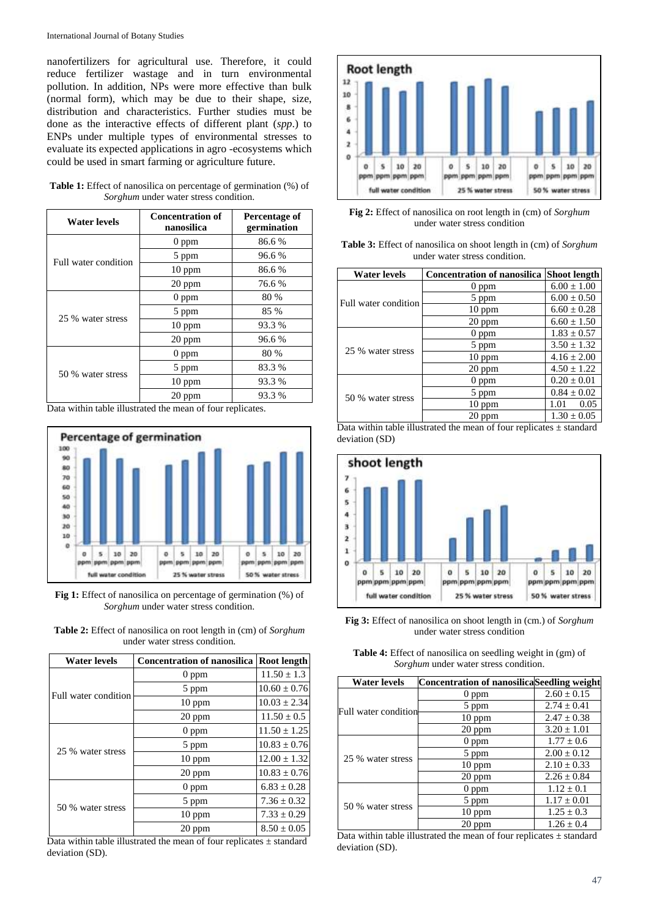International Journal of Botany Studies

nanofertilizers for agricultural use. Therefore, it could reduce fertilizer wastage and in turn environmental pollution. In addition, NPs were more effective than bulk (normal form), which may be due to their shape, size, distribution and characteristics. Further studies must be done as the interactive effects of different plant (*spp*.) to ENPs under multiple types of environmental stresses to evaluate its expected applications in agro -ecosystems which could be used in smart farming or agriculture future.

| Water levels         | <b>Concentration of</b><br>nanosilica | Percentage of<br>germination |
|----------------------|---------------------------------------|------------------------------|
| Full water condition | $0$ ppm                               | 86.6%                        |
|                      | 5 ppm                                 | 96.6%                        |
|                      | $10$ ppm                              | 86.6%                        |
|                      | 20 ppm                                | 76.6 %                       |
| 25 % water stress    | $0$ ppm                               | 80 %                         |
|                      | 5 ppm                                 | 85 %                         |
|                      | $10$ ppm                              | 93.3 %                       |
|                      | 20 ppm                                | 96.6%                        |
| 50 % water stress    | $0$ ppm                               | 80 %                         |
|                      | 5 ppm                                 | 83.3 %                       |
|                      | $10$ ppm                              | 93.3 %                       |
|                      | 20 ppm                                | 93.3 %                       |

| <b>Table 1:</b> Effect of nanosilica on percentage of germination (%) of |  |
|--------------------------------------------------------------------------|--|
| <i>Sorghum</i> under water stress condition.                             |  |

Data within table illustrated the mean of four replicates.



**Fig 1:** Effect of nanosilica on percentage of germination (%) of *Sorghum* under water stress condition.

**Table 2:** Effect of nanosilica on root length in (cm) of *Sorghum*  under water stress condition.

| Water levels         | <b>Concentration of nanosilica</b> | <b>Root length</b> |
|----------------------|------------------------------------|--------------------|
| Full water condition | $0$ ppm                            | $11.50 \pm 1.3$    |
|                      | 5 ppm                              | $10.60 \pm 0.76$   |
|                      | $10$ ppm                           | $10.03 \pm 2.34$   |
|                      | 20 ppm                             | $11.50 \pm 0.5$    |
| 25 % water stress    | $0$ ppm                            | $11.50 \pm 1.25$   |
|                      | 5 ppm                              | $10.83 \pm 0.76$   |
|                      | $10$ ppm                           | $12.00 \pm 1.32$   |
|                      | $20$ ppm                           | $10.83 \pm 0.76$   |
| 50 % water stress    | $0$ ppm                            | $6.83 \pm 0.28$    |
|                      | 5 ppm                              | $7.36 \pm 0.32$    |
|                      | $10$ ppm                           | $7.33 \pm 0.29$    |
|                      | 20 ppm                             | $8.50 \pm 0.05$    |

Data within table illustrated the mean of four replicates  $\pm$  standard deviation (SD).



**Fig 2:** Effect of nanosilica on root length in (cm) of *Sorghum*  under water stress condition

| <b>Table 3:</b> Effect of nanosilica on shoot length in (cm) of <i>Sorghum</i> |
|--------------------------------------------------------------------------------|
| under water stress condition.                                                  |

| <b>Water levels</b>                                                      | <b>Concentration of nanosilica</b> | <b>Shoot length</b> |
|--------------------------------------------------------------------------|------------------------------------|---------------------|
| Full water condition                                                     | $0$ ppm                            | $6.00 \pm 1.00$     |
|                                                                          | 5 ppm                              | $6.00 \pm 0.50$     |
|                                                                          | $10$ ppm                           | $6.60 \pm 0.28$     |
|                                                                          | 20 ppm                             | $6.60 \pm 1.50$     |
| 25 % water stress                                                        | $0$ ppm                            | $1.83 \pm 0.57$     |
|                                                                          | 5 ppm                              | $3.50 \pm 1.32$     |
|                                                                          | $10$ ppm                           | $4.16 \pm 2.00$     |
|                                                                          | 20 ppm                             | $4.50 \pm 1.22$     |
| 50 % water stress                                                        | $0$ ppm                            | $0.20 \pm 0.01$     |
|                                                                          | 5 ppm                              | $0.84 \pm 0.02$     |
|                                                                          | $10$ ppm                           | 0.05<br>1.01        |
|                                                                          | 20 ppm                             | $1.30 \pm 0.05$     |
| Data within table illustrated the mean of four replicates $\pm$ standard |                                    |                     |



**Fig 3:** Effect of nanosilica on shoot length in (cm.) of *Sorghum* under water stress condition

**Table 4:** Effect of nanosilica on seedling weight in (gm) of *Sorghum* under water stress condition.

| Water levels                | <b>Concentration of nanosilicaSeedling weight</b> |                 |
|-----------------------------|---------------------------------------------------|-----------------|
| <b>Full water condition</b> | $0$ ppm                                           | $2.60 \pm 0.15$ |
|                             | 5 ppm                                             | $2.74 + 0.41$   |
|                             | $10$ ppm                                          | $2.47 \pm 0.38$ |
|                             | 20 ppm                                            | $3.20 \pm 1.01$ |
| 25 % water stress           | $0$ ppm                                           | $1.77 \pm 0.6$  |
|                             | 5 ppm                                             | $2.00 \pm 0.12$ |
|                             | $10$ ppm                                          | $2.10 + 0.33$   |
|                             | 20 ppm                                            | $2.26 + 0.84$   |
| 50 % water stress           | $0$ ppm                                           | $1.12 + 0.1$    |
|                             | 5 ppm                                             | $1.17 \pm 0.01$ |
|                             | $10$ ppm                                          | $1.25 \pm 0.3$  |
|                             | 20 ppm                                            | $1.26 + 0.4$    |

Data within table illustrated the mean of four replicates  $\pm$  standard deviation (SD).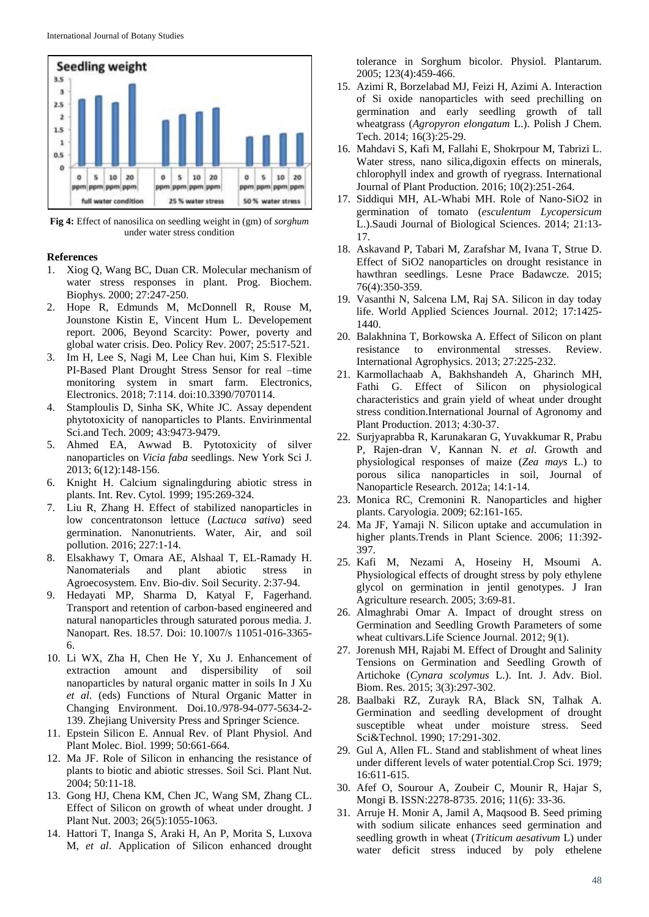

**Fig 4:** Effect of nanosilica on seedling weight in (gm) of *sorghum*  under water stress condition

#### **References**

- 1. Xiog Q, Wang BC, Duan CR. Molecular mechanism of water stress responses in plant. Prog. Biochem. Biophys. 2000; 27:247-250.
- 2. Hope R, Edmunds M, McDonnell R, Rouse M, Jounstone Kistin E, Vincent Hum L. Developement report. 2006, Beyond Scarcity: Power, poverty and global water crisis. Deo. Policy Rev. 2007; 25:517-521.
- 3. Im H, Lee S, Nagi M, Lee Chan hui, Kim S. Flexible PI-Based Plant Drought Stress Sensor for real –time monitoring system in smart farm. Electronics, Electronics. 2018; 7:114. doi:10.3390/7070114.
- 4. Stamploulis D, Sinha SK, White JC. Assay dependent phytotoxicity of nanoparticles to Plants. Envirinmental Sci.and Tech. 2009; 43:9473-9479.
- 5. Ahmed EA, Awwad B. Pytotoxicity of silver nanoparticles on *Vicia faba* seedlings. New York Sci J. 2013; 6(12):148-156.
- 6. Knight H. Calcium signalingduring abiotic stress in plants. Int. Rev. Cytol. 1999; 195:269-324.
- 7. Liu R, Zhang H. Effect of stabilized nanoparticles in low concentratonson lettuce (*Lactuca sativa*) seed germination. Nanonutrients. Water, Air, and soil pollution. 2016; 227:1-14.
- 8. Elsakhawy T, Omara AE, Alshaal T, EL-Ramady H. Nanomaterials and plant abiotic stress in Agroecosystem. Env. Bio-div. Soil Security. 2:37-94.
- 9. Hedayati MP, Sharma D, Katyal F, Fagerhand. Transport and retention of carbon-based engineered and natural nanoparticles through saturated porous media. J. Nanopart. Res. 18.57. Doi: 10.1007/s 11051-016-3365- 6.
- 10. Li WX, Zha H, Chen He Y, Xu J. Enhancement of extraction amount and dispersibility of soil nanoparticles by natural organic matter in soils In J Xu *et al*. (eds) Functions of Ntural Organic Matter in Changing Environment. Doi.10./978-94-077-5634-2- 139. Zhejiang University Press and Springer Science.
- 11. Epstein Silicon E. Annual Rev. of Plant Physiol. And Plant Molec. Biol. 1999; 50:661-664.
- 12. Ma JF. Role of Silicon in enhancing the resistance of plants to biotic and abiotic stresses. Soil Sci. Plant Nut. 2004; 50:11-18.
- 13. Gong HJ, Chena KM, Chen JC, Wang SM, Zhang CL. Effect of Silicon on growth of wheat under drought. J Plant Nut. 2003; 26(5):1055-1063.
- 14. Hattori T, Inanga S, Araki H, An P, Morita S, Luxova M, *et al*. Application of Silicon enhanced drought

tolerance in Sorghum bicolor. Physiol. Plantarum. 2005; 123(4):459-466.

- 15. Azimi R, Borzelabad MJ, Feizi H, Azimi A. Interaction of Si oxide nanoparticles with seed prechilling on germination and early seedling growth of tall wheatgrass (*Agropyron elongatum* L.). Polish J Chem. Tech. 2014; 16(3):25-29.
- 16. Mahdavi S, Kafi M, Fallahi E, Shokrpour M, Tabrizi L. Water stress, nano silica,digoxin effects on minerals, chlorophyll index and growth of ryegrass. International Journal of Plant Production. 2016; 10(2):251-264.
- 17. Siddiqui MH, AL-Whabi MH. Role of Nano-SiO2 in germination of tomato (*esculentum Lycopersicum* L.).Saudi Journal of Biological Sciences. 2014; 21:13- 17.
- 18. Askavand P, Tabari M, Zarafshar M, Ivana T, Strue D. Effect of SiO2 nanoparticles on drought resistance in hawthran seedlings. Lesne Prace Badawcze. 2015; 76(4):350-359.
- 19. Vasanthi N, Salcena LM, Raj SA. Silicon in day today life. World Applied Sciences Journal. 2012; 17:1425- 1440.
- 20. Balakhnina T, Borkowska A. Effect of Silicon on plant resistance to environmental stresses. Review. International Agrophysics. 2013; 27:225-232.
- 21. Karmollachaab A, Bakhshandeh A, Gharinch MH, Fathi G. Effect of Silicon on physiological characteristics and grain yield of wheat under drought stress condition.International Journal of Agronomy and Plant Production. 2013; 4:30-37.
- 22. Surjyaprabba R, Karunakaran G, Yuvakkumar R, Prabu P, Rajen-dran V, Kannan N. *et al*. Growth and physiological responses of maize (*Zea mays* L.) to porous silica nanoparticles in soil, Journal of Nanoparticle Research. 2012a; 14:1-14.
- 23. Monica RC, Cremonini R. Nanoparticles and higher plants. Caryologia. 2009; 62:161-165.
- 24. Ma JF, Yamaji N. Silicon uptake and accumulation in higher plants.Trends in Plant Science. 2006; 11:392- 397.
- 25. Kafi M, Nezami A, Hoseiny H, Msoumi A. Physiological effects of drought stress by poly ethylene glycol on germination in jentil genotypes. J Iran Agriculture research. 2005; 3:69-81.
- 26. Almaghrabi Omar A. Impact of drought stress on Germination and Seedling Growth Parameters of some wheat cultivars.Life Science Journal. 2012; 9(1).
- 27. Jorenush MH, Rajabi M. Effect of Drought and Salinity Tensions on Germination and Seedling Growth of Artichoke (*Cynara scolymus* L.). Int. J. Adv. Biol. Biom. Res. 2015; 3(3):297-302.
- 28. Baalbaki RZ, Zurayk RA, Black SN, Talhak A. Germination and seedling development of drought susceptible wheat under moisture stress. Seed Sci&Technol. 1990; 17:291-302.
- 29. Gul A, Allen FL. Stand and stablishment of wheat lines under different levels of water potential.Crop Sci. 1979; 16:611-615.
- 30. Afef O, Sourour A, Zoubeir C, Mounir R, Hajar S, Mongi B. ISSN:2278-8735. 2016; 11(6): 33-36.
- 31. Arruje H. Monir A, Jamil A, Maqsood B. Seed priming with sodium silicate enhances seed germination and seedling growth in wheat (*Triticum aesativum* L) under water deficit stress induced by poly ethelene